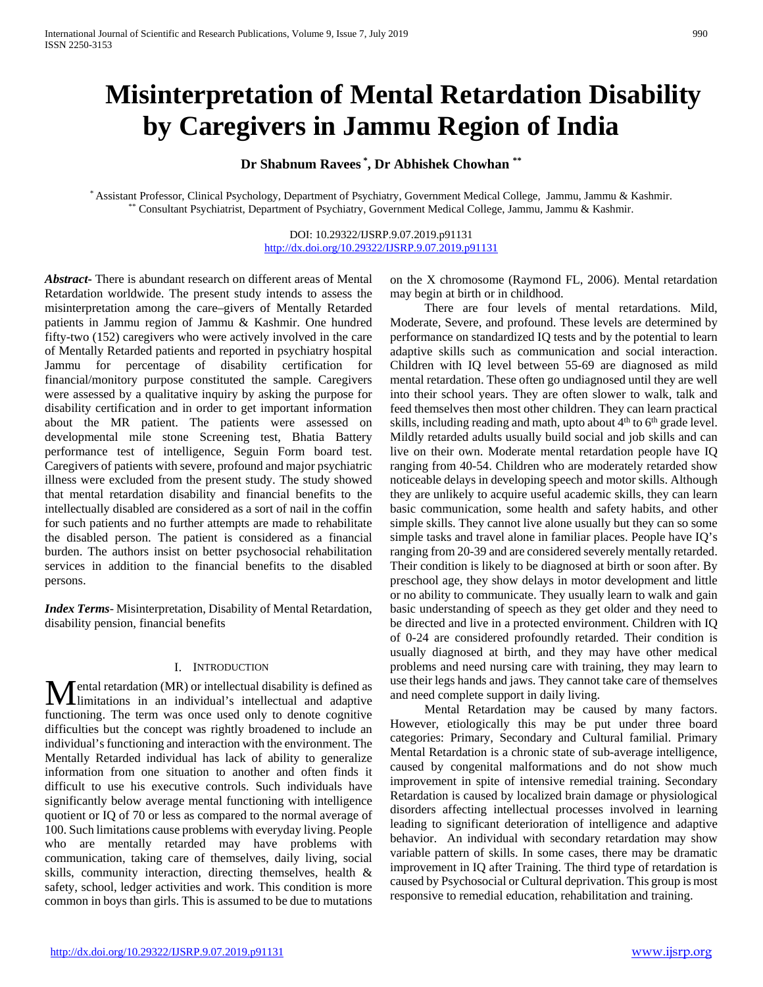# **Misinterpretation of Mental Retardation Disability by Caregivers in Jammu Region of India**

# **Dr Shabnum Ravees \* , Dr Abhishek Chowhan \*\***

\* Assistant Professor, Clinical Psychology, Department of Psychiatry, Government Medical College, Jammu, Jammu & Kashmir. \*\* Consultant Psychiatrist, Department of Psychiatry, Government Medical College, Jammu, Jammu & Kashmir.

> DOI: 10.29322/IJSRP.9.07.2019.p91131 <http://dx.doi.org/10.29322/IJSRP.9.07.2019.p91131>

*Abstract***-** There is abundant research on different areas of Mental Retardation worldwide. The present study intends to assess the misinterpretation among the care–givers of Mentally Retarded patients in Jammu region of Jammu & Kashmir. One hundred fifty-two (152) caregivers who were actively involved in the care of Mentally Retarded patients and reported in psychiatry hospital Jammu for percentage of disability certification for financial/monitory purpose constituted the sample. Caregivers were assessed by a qualitative inquiry by asking the purpose for disability certification and in order to get important information about the MR patient. The patients were assessed on developmental mile stone Screening test, Bhatia Battery performance test of intelligence, Seguin Form board test. Caregivers of patients with severe, profound and major psychiatric illness were excluded from the present study. The study showed that mental retardation disability and financial benefits to the intellectually disabled are considered as a sort of nail in the coffin for such patients and no further attempts are made to rehabilitate the disabled person. The patient is considered as a financial burden. The authors insist on better psychosocial rehabilitation services in addition to the financial benefits to the disabled persons.

*Index Terms*- Misinterpretation, Disability of Mental Retardation, disability pension, financial benefits

## I. INTRODUCTION

ental retardation (MR) or intellectual disability is defined as **M**ental retardation (MR) or intellectual disability is defined as<br>
in an individual's intellectual and adaptive functioning. The term was once used only to denote cognitive difficulties but the concept was rightly broadened to include an individual's functioning and interaction with the environment. The Mentally Retarded individual has lack of ability to generalize information from one situation to another and often finds it difficult to use his executive controls. Such individuals have significantly below average mental functioning with intelligence quotient or IQ of 70 or less as compared to the normal average of 100. Such limitations cause problems with everyday living. People who are mentally retarded may have problems with communication, taking care of themselves, daily living, social skills, community interaction, directing themselves, health & safety, school, ledger activities and work. This condition is more common in boys than girls. This is assumed to be due to mutations

on the X chromosome (Raymond FL, 2006). Mental retardation may begin at birth or in childhood.

 There are four levels of mental retardations. Mild, Moderate, Severe, and profound. These levels are determined by performance on standardized IQ tests and by the potential to learn adaptive skills such as communication and social interaction. Children with IQ level between 55-69 are diagnosed as mild mental retardation. These often go undiagnosed until they are well into their school years. They are often slower to walk, talk and feed themselves then most other children. They can learn practical skills, including reading and math, upto about  $4<sup>th</sup>$  to  $6<sup>th</sup>$  grade level. Mildly retarded adults usually build social and job skills and can live on their own. Moderate mental retardation people have IQ ranging from 40-54. Children who are moderately retarded show noticeable delays in developing speech and motor skills. Although they are unlikely to acquire useful academic skills, they can learn basic communication, some health and safety habits, and other simple skills. They cannot live alone usually but they can so some simple tasks and travel alone in familiar places. People have IQ's ranging from 20-39 and are considered severely mentally retarded. Their condition is likely to be diagnosed at birth or soon after. By preschool age, they show delays in motor development and little or no ability to communicate. They usually learn to walk and gain basic understanding of speech as they get older and they need to be directed and live in a protected environment. Children with IQ of 0-24 are considered profoundly retarded. Their condition is usually diagnosed at birth, and they may have other medical problems and need nursing care with training, they may learn to use their legs hands and jaws. They cannot take care of themselves and need complete support in daily living.

 Mental Retardation may be caused by many factors. However, etiologically this may be put under three board categories: Primary, Secondary and Cultural familial. Primary Mental Retardation is a chronic state of sub-average intelligence, caused by congenital malformations and do not show much improvement in spite of intensive remedial training. Secondary Retardation is caused by localized brain damage or physiological disorders affecting intellectual processes involved in learning leading to significant deterioration of intelligence and adaptive behavior. An individual with secondary retardation may show variable pattern of skills. In some cases, there may be dramatic improvement in IQ after Training. The third type of retardation is caused by Psychosocial or Cultural deprivation. This group is most responsive to remedial education, rehabilitation and training.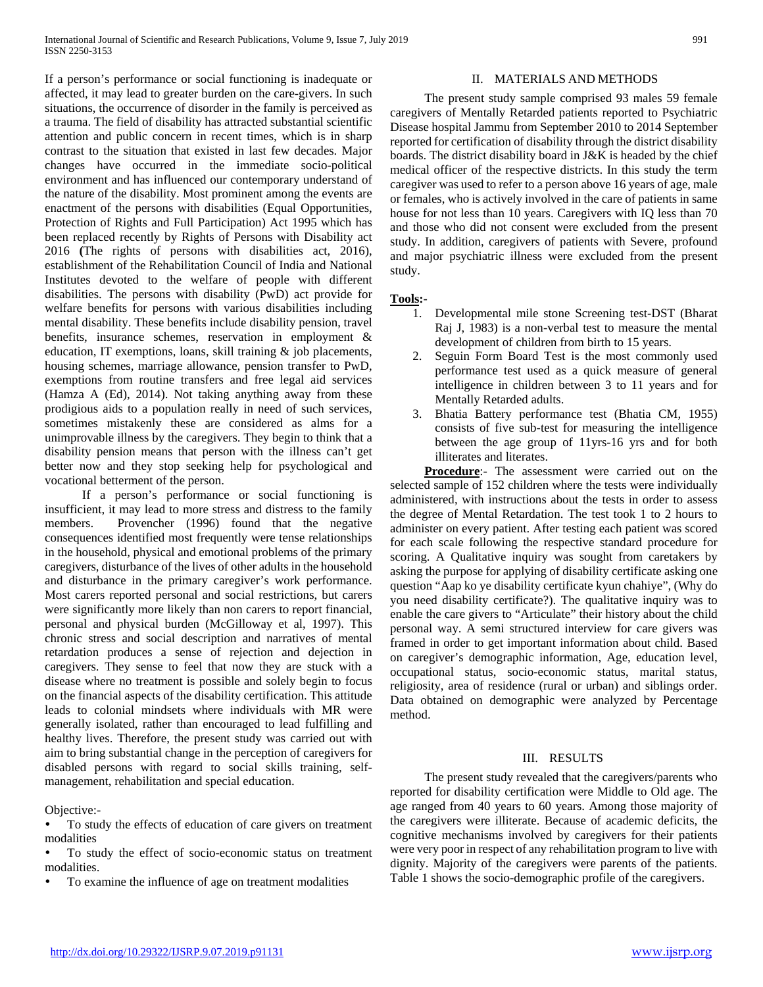If a person's performance or social functioning is inadequate or affected, it may lead to greater burden on the care-givers. In such situations, the occurrence of disorder in the family is perceived as a trauma. The field of disability has attracted substantial scientific attention and public concern in recent times, which is in sharp contrast to the situation that existed in last few decades. Major changes have occurred in the immediate socio-political environment and has influenced our contemporary understand of the nature of the disability. Most prominent among the events are enactment of the persons with disabilities (Equal Opportunities, Protection of Rights and Full Participation) Act 1995 which has been replaced recently by Rights of Persons with Disability act 2016 **(**The rights of persons with disabilities act, 2016), establishment of the Rehabilitation Council of India and National Institutes devoted to the welfare of people with different disabilities. The persons with disability (PwD) act provide for welfare benefits for persons with various disabilities including mental disability. These benefits include disability pension, travel benefits, insurance schemes, reservation in employment & education, IT exemptions, loans, skill training & job placements, housing schemes, marriage allowance, pension transfer to PwD, exemptions from routine transfers and free legal aid services (Hamza A (Ed), 2014). Not taking anything away from these prodigious aids to a population really in need of such services, sometimes mistakenly these are considered as alms for a unimprovable illness by the caregivers. They begin to think that a disability pension means that person with the illness can't get better now and they stop seeking help for psychological and vocational betterment of the person.

 If a person's performance or social functioning is insufficient, it may lead to more stress and distress to the family members. Provencher (1996) found that the negative consequences identified most frequently were tense relationships in the household, physical and emotional problems of the primary caregivers, disturbance of the lives of other adults in the household and disturbance in the primary caregiver's work performance. Most carers reported personal and social restrictions, but carers were significantly more likely than non carers to report financial, personal and physical burden (McGilloway et al, 1997). This chronic stress and social description and narratives of mental retardation produces a sense of rejection and dejection in caregivers. They sense to feel that now they are stuck with a disease where no treatment is possible and solely begin to focus on the financial aspects of the disability certification. This attitude leads to colonial mindsets where individuals with MR were generally isolated, rather than encouraged to lead fulfilling and healthy lives. Therefore, the present study was carried out with aim to bring substantial change in the perception of caregivers for disabled persons with regard to social skills training, selfmanagement, rehabilitation and special education.

Objective:-

- To study the effects of education of care givers on treatment modalities
- To study the effect of socio-economic status on treatment modalities.
- To examine the influence of age on treatment modalities

## II. MATERIALS AND METHODS

 The present study sample comprised 93 males 59 female caregivers of Mentally Retarded patients reported to Psychiatric Disease hospital Jammu from September 2010 to 2014 September reported for certification of disability through the district disability boards. The district disability board in J&K is headed by the chief medical officer of the respective districts. In this study the term caregiver was used to refer to a person above 16 years of age, male or females, who is actively involved in the care of patients in same house for not less than 10 years. Caregivers with IQ less than 70 and those who did not consent were excluded from the present study. In addition, caregivers of patients with Severe, profound and major psychiatric illness were excluded from the present study.

## **Tools:-**

- 1. Developmental mile stone Screening test-DST (Bharat Raj J, 1983) is a non-verbal test to measure the mental development of children from birth to 15 years.
- 2. Seguin Form Board Test is the most commonly used performance test used as a quick measure of general intelligence in children between 3 to 11 years and for Mentally Retarded adults.
- 3. Bhatia Battery performance test (Bhatia CM, 1955) consists of five sub-test for measuring the intelligence between the age group of 11yrs-16 yrs and for both illiterates and literates.

 **Procedure**:- The assessment were carried out on the selected sample of 152 children where the tests were individually administered, with instructions about the tests in order to assess the degree of Mental Retardation. The test took 1 to 2 hours to administer on every patient. After testing each patient was scored for each scale following the respective standard procedure for scoring. A Qualitative inquiry was sought from caretakers by asking the purpose for applying of disability certificate asking one question "Aap ko ye disability certificate kyun chahiye", (Why do you need disability certificate?). The qualitative inquiry was to enable the care givers to "Articulate" their history about the child personal way. A semi structured interview for care givers was framed in order to get important information about child. Based on caregiver's demographic information, Age, education level, occupational status, socio-economic status, marital status, religiosity, area of residence (rural or urban) and siblings order. Data obtained on demographic were analyzed by Percentage method.

## III. RESULTS

 The present study revealed that the caregivers/parents who reported for disability certification were Middle to Old age. The age ranged from 40 years to 60 years. Among those majority of the caregivers were illiterate. Because of academic deficits, the cognitive mechanisms involved by caregivers for their patients were very poor in respect of any rehabilitation program to live with dignity. Majority of the caregivers were parents of the patients. Table 1 shows the socio-demographic profile of the caregivers.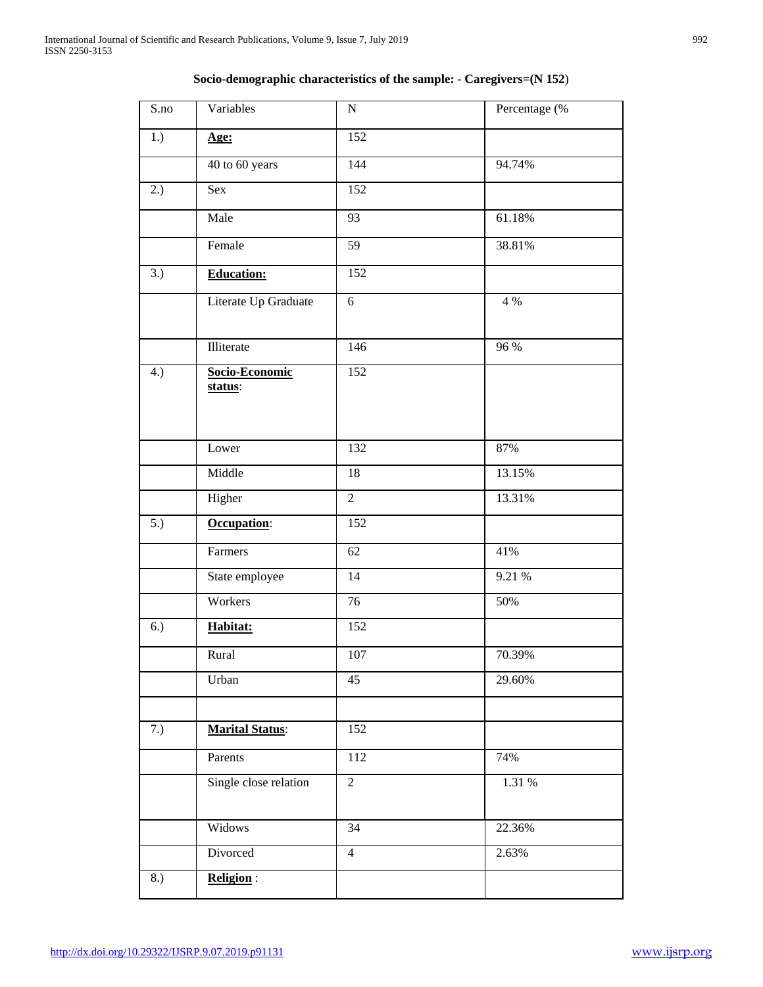| $\overline{S}$ .no | Variables                 | ${\bf N}$        | Percentage (% |
|--------------------|---------------------------|------------------|---------------|
| 1.)                | Age:                      | 152              |               |
|                    | 40 to 60 years            | 144              | 94.74%        |
| 2.)                | Sex                       | 152              |               |
|                    | Male                      | 93               | 61.18%        |
|                    | Female                    | $\overline{59}$  | 38.81%        |
| $\overline{3}$ .)  | <b>Education:</b>         | 152              |               |
|                    | Literate Up Graduate      | 6                | 4 %           |
|                    | Illiterate                | 146              | 96 %          |
| 4.)                | Socio-Economic<br>status: | $\overline{152}$ |               |
|                    | Lower                     | 132              | 87%           |
|                    | Middle                    | 18               | 13.15%        |
|                    | Higher                    | $\overline{2}$   | 13.31%        |
| $\overline{5.}$    | Occupation:               | 152              |               |
|                    | Farmers                   | 62               | 41%           |
|                    | State employee            | 14               | 9.21 %        |
|                    | Workers                   | 76               | 50%           |
| 6.)                | Habitat:                  | 152              |               |
|                    | Rural                     | 107              | 70.39%        |
|                    | Urban                     | 45               | 29.60%        |
| 7.)                | <b>Marital Status:</b>    | 152              |               |
|                    | Parents                   | 112              | 74%           |
|                    | Single close relation     | $\overline{2}$   | 1.31%         |
|                    | Widows                    | 34               | 22.36%        |
|                    | Divorced                  | $\overline{4}$   | 2.63%         |
| 8.)                | <b>Religion:</b>          |                  |               |

# **Socio-demographic characteristics of the sample: - Caregivers=(N 152**)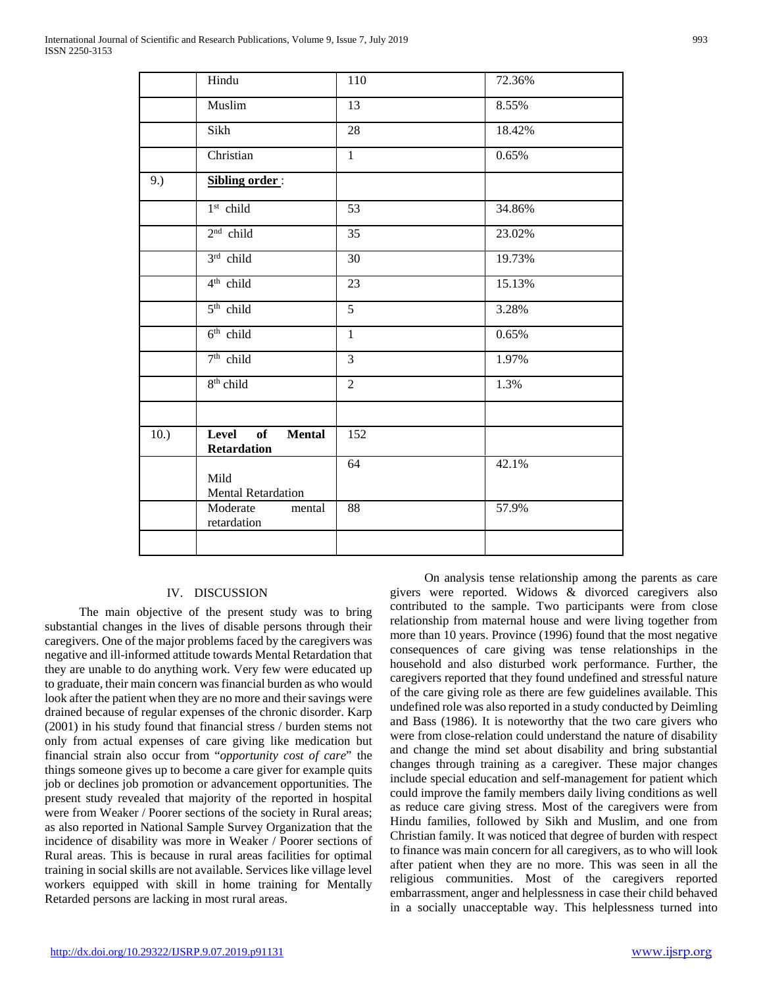|      | Hindu                                       | 110            | 72.36% |
|------|---------------------------------------------|----------------|--------|
|      | Muslim                                      | 13             | 8.55%  |
|      | Sikh                                        | 28             | 18.42% |
|      | Christian                                   | $\mathbf{1}$   | 0.65%  |
| 9.)  | Sibling order:                              |                |        |
|      | $1st$ child                                 | 53             | 34.86% |
|      | $2nd$ child                                 | 35             | 23.02% |
|      | $3rd$ child                                 | 30             | 19.73% |
|      | 4 <sup>th</sup> child                       | 23             | 15.13% |
|      | $5th$ child                                 | $\overline{5}$ | 3.28%  |
|      | 6 <sup>th</sup> child                       | $\mathbf{1}$   | 0.65%  |
|      | $7th$ child                                 | $\overline{3}$ | 1.97%  |
|      | 8 <sup>th</sup> child                       | $\overline{2}$ | 1.3%   |
|      |                                             |                |        |
| 10.) | Level<br>of<br><b>Mental</b><br>Retardation | 152            |        |
|      | Mild<br><b>Mental Retardation</b>           | 64             | 42.1%  |
|      | Moderate<br>mental<br>retardation           | 88             | 57.9%  |
|      |                                             |                |        |

## IV. DISCUSSION

 The main objective of the present study was to bring substantial changes in the lives of disable persons through their caregivers. One of the major problems faced by the caregivers was negative and ill-informed attitude towards Mental Retardation that they are unable to do anything work. Very few were educated up to graduate, their main concern was financial burden as who would look after the patient when they are no more and their savings were drained because of regular expenses of the chronic disorder. Karp (2001) in his study found that financial stress / burden stems not only from actual expenses of care giving like medication but financial strain also occur from "*opportunity cost of care*" the things someone gives up to become a care giver for example quits job or declines job promotion or advancement opportunities. The present study revealed that majority of the reported in hospital were from Weaker / Poorer sections of the society in Rural areas; as also reported in National Sample Survey Organization that the incidence of disability was more in Weaker / Poorer sections of Rural areas. This is because in rural areas facilities for optimal training in social skills are not available. Services like village level workers equipped with skill in home training for Mentally Retarded persons are lacking in most rural areas.

 On analysis tense relationship among the parents as care givers were reported. Widows & divorced caregivers also contributed to the sample. Two participants were from close relationship from maternal house and were living together from more than 10 years. Province (1996) found that the most negative consequences of care giving was tense relationships in the household and also disturbed work performance. Further, the caregivers reported that they found undefined and stressful nature of the care giving role as there are few guidelines available. This undefined role was also reported in a study conducted by Deimling and Bass (1986). It is noteworthy that the two care givers who were from close-relation could understand the nature of disability and change the mind set about disability and bring substantial changes through training as a caregiver. These major changes include special education and self-management for patient which could improve the family members daily living conditions as well as reduce care giving stress. Most of the caregivers were from Hindu families, followed by Sikh and Muslim, and one from Christian family. It was noticed that degree of burden with respect to finance was main concern for all caregivers, as to who will look after patient when they are no more. This was seen in all the religious communities. Most of the caregivers reported embarrassment, anger and helplessness in case their child behaved in a socially unacceptable way. This helplessness turned into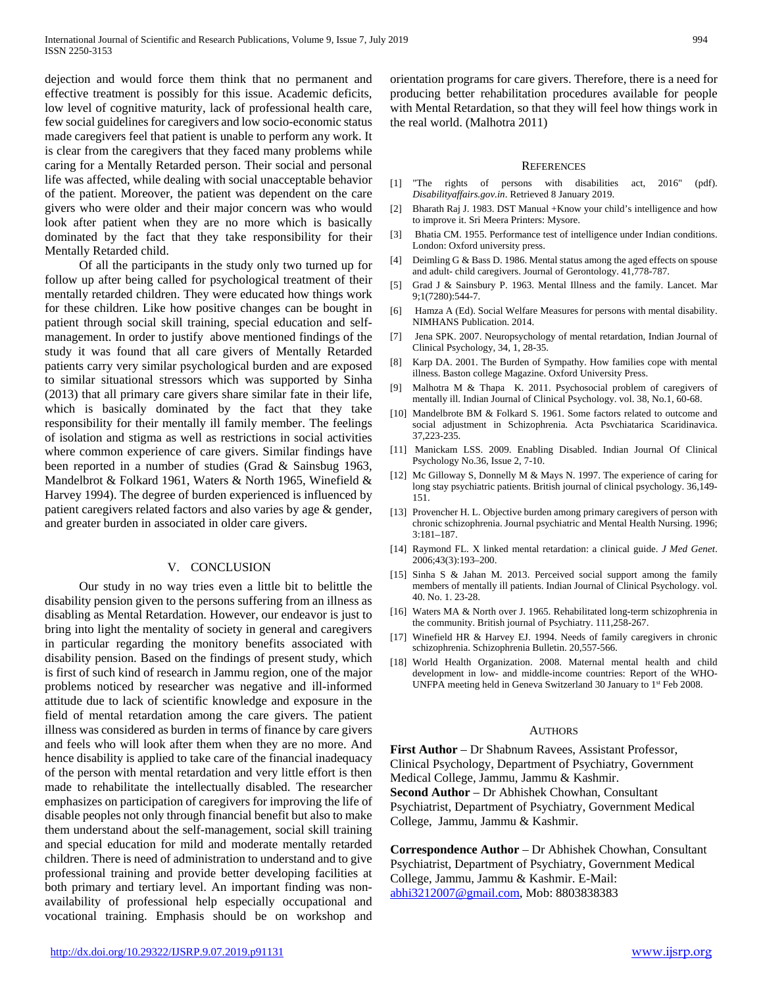dejection and would force them think that no permanent and effective treatment is possibly for this issue. Academic deficits, low level of cognitive maturity, lack of professional health care, few social guidelines for caregivers and low socio-economic status made caregivers feel that patient is unable to perform any work. It is clear from the caregivers that they faced many problems while caring for a Mentally Retarded person. Their social and personal life was affected, while dealing with social unacceptable behavior of the patient. Moreover, the patient was dependent on the care givers who were older and their major concern was who would look after patient when they are no more which is basically dominated by the fact that they take responsibility for their Mentally Retarded child.

 Of all the participants in the study only two turned up for follow up after being called for psychological treatment of their mentally retarded children. They were educated how things work for these children. Like how positive changes can be bought in patient through social skill training, special education and selfmanagement. In order to justify above mentioned findings of the study it was found that all care givers of Mentally Retarded patients carry very similar psychological burden and are exposed to similar situational stressors which was supported by Sinha (2013) that all primary care givers share similar fate in their life, which is basically dominated by the fact that they take responsibility for their mentally ill family member. The feelings of isolation and stigma as well as restrictions in social activities where common experience of care givers. Similar findings have been reported in a number of studies (Grad & Sainsbug 1963, Mandelbrot & Folkard 1961, Waters & North 1965, Winefield & Harvey 1994). The degree of burden experienced is influenced by patient caregivers related factors and also varies by age & gender, and greater burden in associated in older care givers.

## V. CONCLUSION

 Our study in no way tries even a little bit to belittle the disability pension given to the persons suffering from an illness as disabling as Mental Retardation. However, our endeavor is just to bring into light the mentality of society in general and caregivers in particular regarding the monitory benefits associated with disability pension. Based on the findings of present study, which is first of such kind of research in Jammu region, one of the major problems noticed by researcher was negative and ill-informed attitude due to lack of scientific knowledge and exposure in the field of mental retardation among the care givers. The patient illness was considered as burden in terms of finance by care givers and feels who will look after them when they are no more. And hence disability is applied to take care of the financial inadequacy of the person with mental retardation and very little effort is then made to rehabilitate the intellectually disabled. The researcher emphasizes on participation of caregivers for improving the life of disable peoples not only through financial benefit but also to make them understand about the self-management, social skill training and special education for mild and moderate mentally retarded children. There is need of administration to understand and to give professional training and provide better developing facilities at both primary and tertiary level. An important finding was nonavailability of professional help especially occupational and vocational training. Emphasis should be on workshop and

orientation programs for care givers. Therefore, there is a need for producing better rehabilitation procedures available for people with Mental Retardation, so that they will feel how things work in the real world. (Malhotra 2011)

#### **REFERENCES**

- [1] "The rights of persons with disabilities act, 2016" (pdf). *Disabilityaffairs.gov.in*. Retrieved 8 January 2019.
- [2] Bharath Raj J. 1983. DST Manual +Know your child's intelligence and how to improve it. Sri Meera Printers: Mysore.
- [3] Bhatia CM. 1955. Performance test of intelligence under Indian conditions. London: Oxford university press.
- [4] Deimling G & Bass D. 1986. Mental status among the aged effects on spouse and adult- child caregivers. Journal of Gerontology. 41,778-787.
- [5] Grad J & Sainsbury P. 1963. Mental Illness and the family. Lancet. Mar 9;1(7280):544-7.
- [6] Hamza A (Ed). Social Welfare Measures for persons with mental disability. NIMHANS Publication. 2014.
- [7] Jena SPK. 2007. Neuropsychology of mental retardation, Indian Journal of Clinical Psychology, 34, 1, 28-35.
- [8] Karp DA. 2001. The Burden of Sympathy. How families cope with mental illness. Baston college Magazine. Oxford University Press.
- [9] Malhotra M & Thapa K. 2011. Psychosocial problem of caregivers of mentally ill. Indian Journal of Clinical Psychology. vol. 38, No.1, 60-68.
- [10] Mandelbrote BM & Folkard S. 1961. Some factors related to outcome and social adjustment in Schizophrenia. Acta Psvchiatarica Scaridinavica. 37,223-235.
- [11] Manickam LSS. 2009. Enabling Disabled. Indian Journal Of Clinical Psychology No.36, Issue 2, 7-10.
- [12] Mc Gilloway S, Donnelly M & Mays N. 1997. The experience of caring for long stay psychiatric patients. British journal of clinical psychology. 36,149- 151.
- [13] Provencher H. L. Objective burden among primary caregivers of person with chronic schizophrenia. Journal psychiatric and Mental Health Nursing. 1996; 3:181–187.
- [14] Raymond FL. X linked mental retardation: a clinical guide. *J Med Genet*. 2006;43(3):193–200.
- [15] Sinha S & Jahan M. 2013. Perceived social support among the family members of mentally ill patients. Indian Journal of Clinical Psychology. vol. 40. No. 1. 23-28.
- [16] Waters MA & North over J. 1965. Rehabilitated long-term schizophrenia in the community. British journal of Psychiatry. 111,258-267.
- [17] Winefield HR & Harvey EJ. 1994. Needs of family caregivers in chronic schizophrenia. Schizophrenia Bulletin. 20,557-566.
- [18] World Health Organization. 2008. Maternal mental health and child development in low- and middle-income countries: Report of the WHO-UNFPA meeting held in Geneva Switzerland 30 January to 1<sup>st</sup> Feb 2008.

#### AUTHORS

**First Author** – Dr Shabnum Ravees, Assistant Professor, Clinical Psychology, Department of Psychiatry, Government Medical College, Jammu, Jammu & Kashmir. **Second Author** – Dr Abhishek Chowhan, Consultant Psychiatrist, Department of Psychiatry, Government Medical College, Jammu, Jammu & Kashmir.

**Correspondence Author** – Dr Abhishek Chowhan, Consultant Psychiatrist, Department of Psychiatry, Government Medical College, Jammu, Jammu & Kashmir. E-Mail: [abhi3212007@gmail.com,](mailto:abhi3212007@gmail.com) Mob: 8803838383